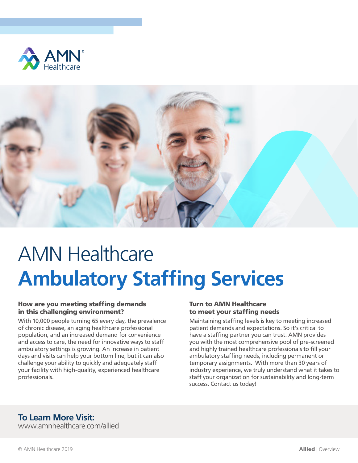



# AMN Healthcare **Ambulatory Staffing Services**

#### How are you meeting staffing demands in this challenging environment?

With 10,000 people turning 65 every day, the prevalence of chronic disease, an aging healthcare professional population, and an increased demand for convenience and access to care, the need for innovative ways to staff ambulatory settings is growing. An increase in patient days and visits can help your bottom line, but it can also challenge your ability to quickly and adequately staff your facility with high-quality, experienced healthcare professionals.

#### Turn to AMN Healthcare to meet your staffing needs

Maintaining staffing levels is key to meeting increased patient demands and expectations. So it's critical to have a staffing partner you can trust. AMN provides you with the most comprehensive pool of pre-screened and highly trained healthcare professionals to fill your ambulatory staffing needs, including permanent or temporary assignments. With more than 30 years of industry experience, we truly understand what it takes to staff your organization for sustainability and long-term success. Contact us today!

### **To Learn More Visit:**

www.amnhealthcare.com/allied